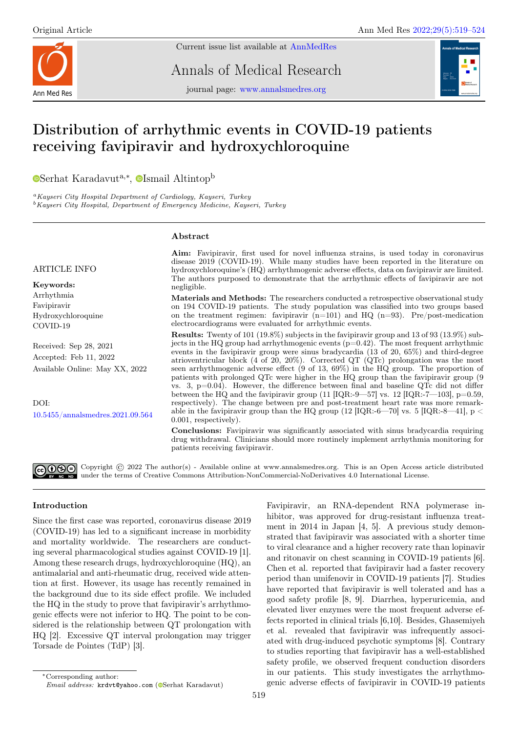

Current issue list available at [AnnMedRes](https://annalsmedres.org/index.php/aomr/issue/view/163)

Annals of Medical Research

journal page: [www.annalsmedres.org](https://www.annalsmedres.org)



# Distribution of arrhythmic events in COVID-19 patients receiving favipiravir and hydroxychloroquine

[S](https://orcid.org/0000-0002-9143-890X)erhat Karadavut<sup>a,∗</sup>, <sup>o</sup>[I](https://orcid.org/0000-0001-9043-7369)smail Altintop<sup>b</sup>

<sup>a</sup>Kayseri City Hospital Department of Cardiology, Kayseri, Turkey <sup>b</sup>Kayseri City Hospital, Department of Emergency Medicine, Kayseri, Turkey

## Abstract

### ARTICLE INFO

Keywords: Arrhythmia Favipiravir Hydroxychloroquine COVID-19

Received: Sep 28, 2021 Accepted: Feb 11, 2022 Available Online: May XX, 2022

DOI: [10.5455/annalsmedres.2021.09.564](https://doi.org/10.5455/annalsmedres.2021.09.564)

Aim: Favipiravir, first used for novel influenza strains, is used today in coronavirus disease 2019 (COVID-19). While many studies have been reported in the literature on hydroxychloroquine's (HQ) arrhythmogenic adverse effects, data on favipiravir are limited. The authors purposed to demonstrate that the arrhythmic effects of favipiravir are not negligible.

Materials and Methods: The researchers conducted a retrospective observational study on 194 COVID-19 patients. The study population was classified into two groups based on the treatment regimen: favipiravir  $(n=101)$  and HQ  $(n=93)$ . Pre/post-medication electrocardiograms were evaluated for arrhythmic events.

Results: Twenty of 101 (19.8%) subjects in the favipiravir group and 13 of 93 (13.9%) subjects in the HQ group had arrhythmogenic events  $(p=0.42)$ . The most frequent arrhythmic events in the favipiravir group were sinus bradycardia (13 of 20, 65%) and third-degree atrioventricular block (4 of 20, 20%). Corrected QT (QTc) prolongation was the most seen arrhythmogenic adverse effect (9 of 13, 69%) in the HQ group. The proportion of patients with prolonged QTc were higher in the HQ group than the favipiravir group (9 vs. 3, p=0.04). However, the difference between final and baseline QTc did not differ between the HQ and the favipiravir group (11  $\text{[IQR:-9--57]}$  vs. 12  $\text{[IQR:-7--103]}, p=0.59,$ respectively). The change between pre and post-treatment heart rate was more remarkable in the favipiravir group than the HQ group  $(12 \text{ [IQR:-6—70] vs. 5 [IQR:-8—41], p  $\sim$$ 0.001, respectively).

Conclusions: Favipiravir was significantly associated with sinus bradycardia requiring drug withdrawal. Clinicians should more routinely implement arrhythmia monitoring for patients receiving favipiravir.

GOG Copyright © 2022 The author(s) - Available online at www.annalsmedres.org. This is an Open Access article distributed under the terms of Creative Commons Attribution-NonCommercial-NoDerivatives 4.0 International License.

## Introduction

Since the first case was reported, coronavirus disease 2019 (COVID-19) has led to a significant increase in morbidity and mortality worldwide. The researchers are conducting several pharmacological studies against COVID-19 [1]. Among these research drugs, hydroxychloroquine (HQ), an antimalarial and anti-rheumatic drug, received wide attention at first. However, its usage has recently remained in the background due to its side effect profile. We included the HQ in the study to prove that favipiravir's arrhythmogenic effects were not inferior to HQ. The point to be considered is the relationship between QT prolongation with HQ [2]. Excessive QT interval prolongation may trigger Torsade de Pointes (TdP) [3].

Favipiravir, an RNA-dependent RNA polymerase inhibitor, was approved for drug-resistant influenza treatment in 2014 in Japan [4, 5]. A previous study demonstrated that favipiravir was associated with a shorter time to viral clearance and a higher recovery rate than lopinavir and ritonavir on chest scanning in COVID-19 patients [6]. Chen et al. reported that favipiravir had a faster recovery period than umifenovir in COVID-19 patients [7]. Studies have reported that favipiravir is well tolerated and has a good safety profile [8, 9]. Diarrhea, hyperuricemia, and elevated liver enzymes were the most frequent adverse effects reported in clinical trials [6,10]. Besides, Ghasemiyeh et al. revealed that favipiravir was infrequently associated with drug-induced psychotic symptoms [8]. Contrary to studies reporting that favipiravir has a well-established safety profile, we observed frequent conduction disorders in our patients. This study investigates the arrhythmogenic adverse effects of favipiravir in COVID-19 patients

<sup>∗</sup>Corresponding author:

Email address: krdvt@yahoo.com (@[S](https://orcid.org/0000-0002-9143-890X)erhat Karadavut)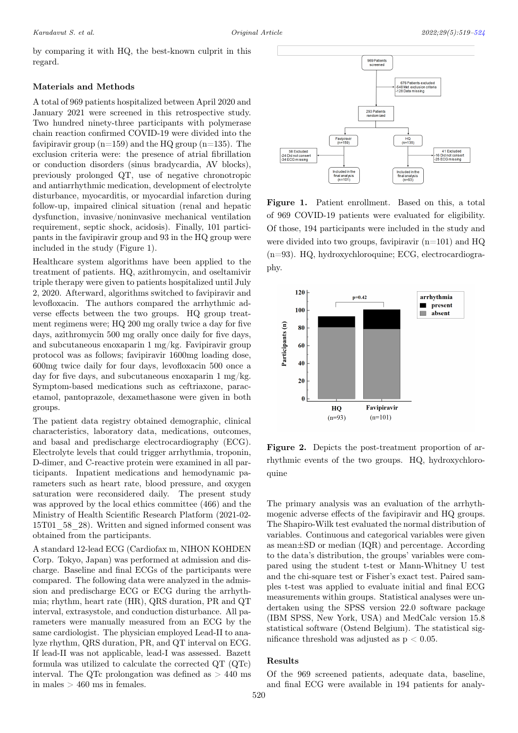by comparing it with HQ, the best-known culprit in this regard.

#### Materials and Methods

A total of 969 patients hospitalized between April 2020 and January 2021 were screened in this retrospective study. Two hundred ninety-three participants with polymerase chain reaction confirmed COVID-19 were divided into the favipiravir group  $(n=159)$  and the HQ group  $(n=135)$ . The exclusion criteria were: the presence of atrial fibrillation or conduction disorders (sinus bradycardia, AV blocks), previously prolonged QT, use of negative chronotropic and antiarrhythmic medication, development of electrolyte disturbance, myocarditis, or myocardial infarction during follow-up, impaired clinical situation (renal and hepatic dysfunction, invasive/noninvasive mechanical ventilation requirement, septic shock, acidosis). Finally, 101 participants in the favipiravir group and 93 in the HQ group were included in the study (Figure 1).

Healthcare system algorithms have been applied to the treatment of patients. HQ, azithromycin, and oseltamivir triple therapy were given to patients hospitalized until July 2, 2020. Afterward, algorithms switched to favipiravir and levofloxacin. The authors compared the arrhythmic adverse effects between the two groups. HQ group treatment regimens were; HQ 200 mg orally twice a day for five days, azithromycin 500 mg orally once daily for five days, and subcutaneous enoxaparin 1 mg/kg. Favipiravir group protocol was as follows; favipiravir 1600mg loading dose, 600mg twice daily for four days, levofloxacin 500 once a day for five days, and subcutaneous enoxaparin  $1 \text{ mg/kg}$ . Symptom-based medications such as ceftriaxone, paracetamol, pantoprazole, dexamethasone were given in both groups.

The patient data registry obtained demographic, clinical characteristics, laboratory data, medications, outcomes, and basal and predischarge electrocardiography (ECG). Electrolyte levels that could trigger arrhythmia, troponin, D-dimer, and C-reactive protein were examined in all participants. Inpatient medications and hemodynamic parameters such as heart rate, blood pressure, and oxygen saturation were reconsidered daily. The present study was approved by the local ethics committee (466) and the Ministry of Health Scientific Research Platform (2021-02- 15T01\_58\_28). Written and signed informed consent was obtained from the participants.

A standard 12-lead ECG (Cardiofax m, NIHON KOHDEN Corp. Tokyo, Japan) was performed at admission and discharge. Baseline and final ECGs of the participants were compared. The following data were analyzed in the admission and predischarge ECG or ECG during the arrhythmia; rhythm, heart rate (HR), QRS duration, PR and QT interval, extrasystole, and conduction disturbance. All parameters were manually measured from an ECG by the same cardiologist. The physician employed Lead-II to analyze rhythm, QRS duration, PR, and QT interval on ECG. If lead-II was not applicable, lead-I was assessed. Bazett formula was utilized to calculate the corrected QT (QTc) interval. The OTc prolongation was defined as  $> 440$  ms in males  $> 460$  ms in females.



Figure 1. Patient enrollment. Based on this, a total of 969 COVID-19 patients were evaluated for eligibility. Of those, 194 participants were included in the study and were divided into two groups, favipiravir  $(n=101)$  and HQ  $(n=93)$ . HQ, hydroxychloroquine; ECG, electrocardiography.



Figure 2. Depicts the post-treatment proportion of arrhythmic events of the two groups. HQ, hydroxychloroquine

The primary analysis was an evaluation of the arrhythmogenic adverse effects of the favipiravir and HQ groups. The Shapiro-Wilk test evaluated the normal distribution of variables. Continuous and categorical variables were given as mean±SD or median (IQR) and percentage. According to the data's distribution, the groups' variables were compared using the student t-test or Mann-Whitney U test and the chi-square test or Fisher's exact test. Paired samples t-test was applied to evaluate initial and final ECG measurements within groups. Statistical analyses were undertaken using the SPSS version 22.0 software package (IBM SPSS, New York, USA) and MedCalc version 15.8 statistical software (Ostend Belgium). The statistical significance threshold was adjusted as  $p < 0.05$ .

## Results

Of the 969 screened patients, adequate data, baseline, and final ECG were available in 194 patients for analy-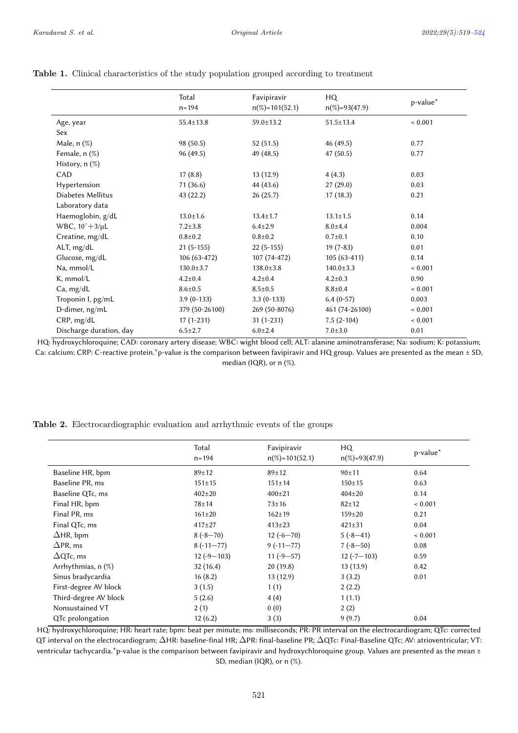|                           | Total<br>$n = 194$ | Favipiravir<br>$n(\%)=101(52.1)$ | HQ.<br>$n(\%)=93(47.9)$ | p-value*    |
|---------------------------|--------------------|----------------------------------|-------------------------|-------------|
| Age, year                 | $55.4 \pm 13.8$    | $59.0 \pm 13.2$                  | $51.5 \pm 13.4$         | ${}< 0.001$ |
| Sex                       |                    |                                  |                         |             |
| Male, n (%)               | 98(50.5)           | 52(51.5)                         | 46 (49.5)               | 0.77        |
| Female, n (%)             | 96 (49.5)          | 49 (48.5)                        | 47 (50.5)               | 0.77        |
| History, $n$ $(\%)$       |                    |                                  |                         |             |
| CAD.                      | 17(8.8)            | 13(12.9)                         | 4(4.3)                  | 0.03        |
| Hypertension              | 71 (36.6)          | 44 (43.6)                        | 27(29.0)                | 0.03        |
| Diabetes Mellitus         | 43(22.2)           | 26(25.7)                         | 17(18.3)                | 0.21        |
| Laboratory data           |                    |                                  |                         |             |
| Haemoglobin, g/dL         | $13.0 \pm 1.6$     | $13.4 \pm 1.7$                   | $13.1 \pm 1.5$          | 0.14        |
| WBC, $10^{\circ}+3/\mu L$ | $7.2 \pm 3.8$      | $6.4 \pm 2.9$                    | $8.0{\pm}4.4$           | 0.004       |
| Creatine, mg/dL           | $0.8 + 0.2$        | $0.8 + 0.2$                      | $0.7 + 0.1$             | 0.10        |
| ALT, mg/dL                | $21(5-155)$        | $22(5-155)$                      | $19(7-83)$              | 0.01        |
| Glucose, mg/dL            | $106(63-472)$      | $107(74-472)$                    | $105(63-411)$           | 0.14        |
| Na, mmol/L                | $130.0 \pm 3.7$    | $138.0 \pm 3.8$                  | $140.0 \pm 3.3$         | ${}< 0.001$ |
| K, mmol/L                 | $4.2 \pm 0.4$      | $4.2 \pm 0.4$                    | $4.2 \pm 0.3$           | 0.90        |
| Ca, mg/dL                 | $8.6 \pm 0.5$      | $8.5 \pm 0.5$                    | $8.8 \pm 0.4$           | ${}< 0.001$ |
| Troponin I, pg/mL         | $3.9(0-133)$       | $3.3(0-133)$                     | $6.4(0-57)$             | 0.003       |
| D-dimer, ng/mL            | 379 (50-26100)     | 269 (50-8076)                    | 461 (74-26100)          | ${}< 0.001$ |
| CRP, mg/dL                | $17(1-231)$        | $31(1-231)$                      | $7.5(2-104)$            | ${}< 0.001$ |
| Discharge duration, day   | $6.5 \pm 2.7$      | $6.0 \pm 2.4$                    | $7.0 + 3.0$             | 0.01        |

## Table 1. Clinical characteristics of the study population grouped according to treatment

HQ: hydroxychloroquine; CAD: coronary artery disease; WBC: wight blood cell; ALT: alanine aminotransferase; Na: sodium; K: potassium; Ca: calcium; CRP: C-reactive protein.\*p-value is the comparison between favipiravir and HQ group. Values are presented as the mean ± SD, median (IQR), or  $n$  (%).

|  | Table 2. Electrocardiographic evaluation and arrhythmic events of the groups |  |  |
|--|------------------------------------------------------------------------------|--|--|
|  |                                                                              |  |  |

<span id="page-2-0"></span>

|                       | Total<br>$n = 194$ | Favipiravir<br>$n(\%) = 101(52.1)$ | HQ<br>$n(\%)=93(47.9)$ | p-value*    |
|-----------------------|--------------------|------------------------------------|------------------------|-------------|
| Baseline HR, bpm      | $89 + 12$          | $89 + 12$                          | 90±11                  | 0.64        |
| Baseline PR, ms       | $151 \pm 15$       | $151 \pm 14$                       | $150 \pm 15$           | 0.63        |
| Baseline QTc, ms      | $402 \pm 20$       | $400 \pm 21$                       | $404 \pm 20$           | 0.14        |
| Final HR, bpm         | $78 + 14$          | $73 \pm 16$                        | $82 \pm 12$            | ${}< 0.001$ |
| Final PR, ms          | $161 \pm 20$       | $162 + 19$                         | $159 + 20$             | 0.21        |
| Final QTc, ms         | $417 \pm 27$       | $413 \pm 23$                       | $421 \pm 31$           | 0.04        |
| $\Delta$ HR, bpm      | $8(-8-70)$         | $12(-6-70)$                        | $5(-8-41)$             | ${}< 0.001$ |
| $\Delta$ PR, ms       | $8(-11-77)$        | $9(-11-77)$                        | $7(-8-50)$             | 0.08        |
| $\Delta$ QTc, ms      | $12(-9-103)$       | $11(-9-57)$                        | $12(-7-103)$           | 0.59        |
| Arrhythmias, n (%)    | 32(16.4)           | 20(19.8)                           | 13(13.9)               | 0.42        |
| Sinus bradycardia     | 16(8.2)            | 13(12.9)                           | 3(3.2)                 | 0.01        |
| First-degree AV block | 3(1.5)             | 1(1)                               | 2(2.2)                 |             |
| Third-degree AV block | 5(2.6)             | 4(4)                               | 1(1.1)                 |             |
| Nonsustained VT       | 2(1)               | 0(0)                               | 2(2)                   |             |
| QTc prolongation      | 12(6.2)            | 3(3)                               | 9(9.7)                 | 0.04        |

HQ: hydroxychloroquine; HR: heart rate; bpm: beat per minute; ms: milliseconds; PR: PR interval on the electrocardiogram; QTc: corrected QT interval on the electrocardiogram; ∆HR: baseline-final HR; ∆PR: final-baseline PR; ∆QTc: Final-Baseline QTc; AV: atrioventricular; VT: ventricular tachycardia.\*p-value is the comparison between favipiravir and hydroxychloroquine group. Values are presented as the mean ± SD, median (IQR), or n (%).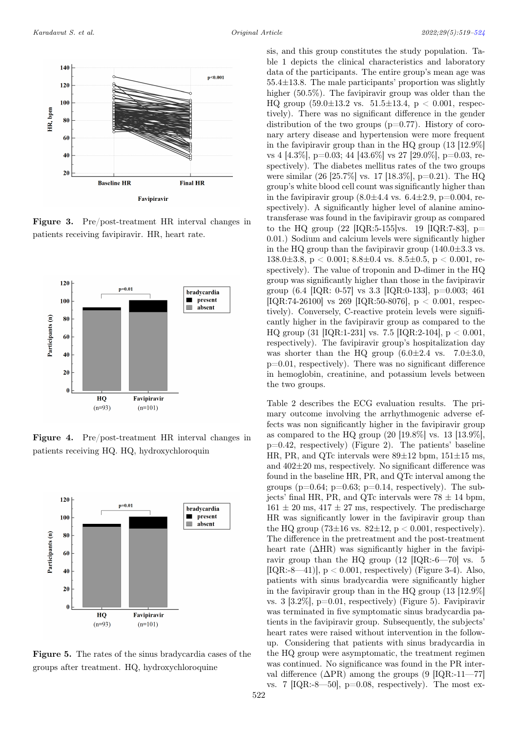

Figure 3. Pre/post-treatment HR interval changes in patients receiving favipiravir. HR, heart rate.



Figure 4. Pre/post-treatment HR interval changes in patients receiving HQ. HQ, hydroxychloroquin



Figure 5. The rates of the sinus bradycardia cases of the groups after treatment. HQ, hydroxychloroquine

sis, and this group constitutes the study population. Table 1 depicts the clinical characteristics and laboratory data of the participants. The entire group's mean age was 55.4±13.8. The male participants' proportion was slightly higher (50.5%). The favipiravir group was older than the HQ group  $(59.0 \pm 13.2 \text{ vs. } 51.5 \pm 13.4, \text{ p} < 0.001, \text{ respec-}$ tively). There was no significant difference in the gender distribution of the two groups  $(p=0.77)$ . History of coronary artery disease and hypertension were more frequent in the favipiravir group than in the HQ group (13 [12.9%] vs 4 [4.3%], p=0.03; 44 [43.6%] vs 27 [29.0%], p=0.03, respectively). The diabetes mellitus rates of the two groups were similar (26 [25.7%] vs. 17 [18.3%], p=0.21). The HQ group's white blood cell count was significantly higher than in the favipiravir group  $(8.0 \pm 4.4 \text{ vs. } 6.4 \pm 2.9, \text{ p} = 0.004, \text{ re-}$ spectively). A significantly higher level of alanine aminotransferase was found in the favipiravir group as compared to the HQ group  $(22 \text{ [IQR:5-155]vs. } 19 \text{ [IQR:7-83], } p=$ 0.01.) Sodium and calcium levels were significantly higher in the HQ group than the favipiravir group  $(140.0\pm3.3 \text{ vs.})$ 138.0 $\pm$ 3.8, p < 0.001; 8.8 $\pm$ 0.4 vs. 8.5 $\pm$ 0.5, p < 0.001, respectively). The value of troponin and D-dimer in the HQ group was significantly higher than those in the favipiravir group  $(6.4 \text{ [IQR: 0-57] vs } 3.3 \text{ [IQR:0-133], p=0.003; 461]}$ [IQR:74-26100] vs 269 [IQR:50-8076],  $p < 0.001$ , respectively). Conversely, C-reactive protein levels were significantly higher in the favipiravir group as compared to the HQ group (31 [IQR:1-231] vs. 7.5 [IQR:2-104], p < 0.001, respectively). The favipiravir group's hospitalization day was shorter than the HQ group  $(6.0\pm2.4 \text{ vs. } 7.0\pm3.0,$  $p=0.01$ , respectively). There was no significant difference in hemoglobin, creatinine, and potassium levels between the two groups.

Table 2 describes the ECG evaluation results. The primary outcome involving the arrhythmogenic adverse effects was non significantly higher in the favipiravir group as compared to the HQ group (20 [19.8%] vs. 13 [13.9%], p=0.42, respectively) (Figure 2). The patients' baseline HR, PR, and QTc intervals were  $89\pm12$  bpm,  $151\pm15$  ms, and 402±20 ms, respectively. No significant difference was found in the baseline HR, PR, and QTc interval among the groups ( $p=0.64$ ;  $p=0.63$ ;  $p=0.14$ , respectively). The subjects' final HR, PR, and QTc intervals were  $78 \pm 14$  bpm,  $161 \pm 20$  ms,  $417 \pm 27$  ms, respectively. The predischarge HR was significantly lower in the favipiravir group than the HQ group  $(73\pm16 \text{ vs. } 82\pm12, p < 0.001, \text{ respectively}).$ The difference in the pretreatment and the post-treatment heart rate  $(\Delta HR)$  was significantly higher in the favipiravir group than the HQ group (12 [IQR:-6—70] vs. 5 [IQR:-8—41]],  $p < 0.001$ , respectively] (Figure 3-4). Also, patients with sinus bradycardia were significantly higher in the favipiravir group than in the HQ group (13 [12.9%] vs.  $3 \left[3.2\% \right]$ , p=0.01, respectively) (Figure 5). Favipiravir was terminated in five symptomatic sinus bradycardia patients in the favipiravir group. Subsequently, the subjects' heart rates were raised without intervention in the followup. Considering that patients with sinus bradycardia in the HQ group were asymptomatic, the treatment regimen was continued. No significance was found in the PR interval difference ( $\Delta PR$ ) among the groups (9 [IQR:-11—77] vs. 7  $[IQR:-8-50]$ ,  $p=0.08$ , respectively). The most ex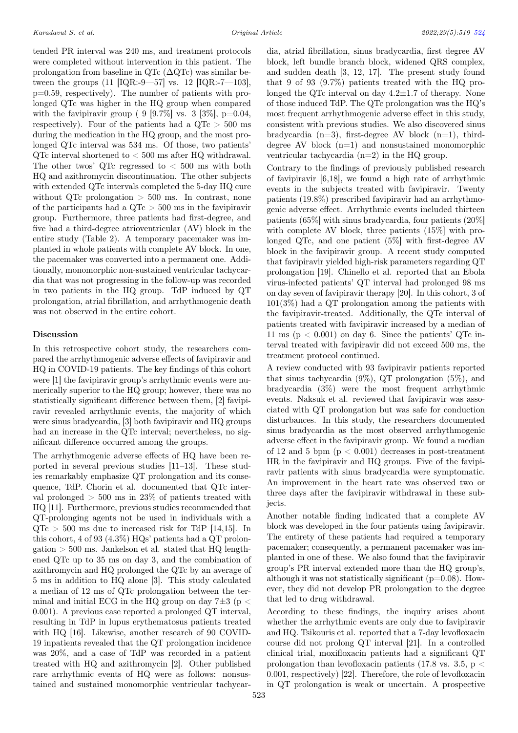tended PR interval was 240 ms, and treatment protocols were completed without intervention in this patient. The prolongation from baseline in QTc  $(\Delta \text{QTc})$  was similar between the groups  $(11 \text{ [IQR:-9—57] vs. } 12 \text{ [IQR:-7—103]},$ p=0.59, respectively). The number of patients with prolonged QTc was higher in the HQ group when compared with the favipiravir group ( 9 [9.7%] vs. 3 [3%], p=0.04. respectively). Four of the patients had a  $QTc > 500$  ms during the medication in the HQ group, and the most prolonged QTc interval was 534 ms. Of those, two patients' QTc interval shortened to < 500 ms after HQ withdrawal. The other twos' QTc regressed to  $< 500$  ms with both HQ and azithromycin discontinuation. The other subjects with extended QTc intervals completed the 5-day HQ cure without QTc prolongation  $> 500$  ms. In contrast, none of the participants had a  $\text{OTc} > 500$  ms in the favipiravir group. Furthermore, three patients had first-degree, and five had a third-degree atrioventricular (AV) block in the entire study (Table 2). A temporary pacemaker was implanted in whole patients with complete AV block. In one, the pacemaker was converted into a permanent one. Additionally, monomorphic non-sustained ventricular tachycardia that was not progressing in the follow-up was recorded in two patients in the HQ group. TdP induced by QT prolongation, atrial fibrillation, and arrhythmogenic death was not observed in the entire cohort.

#### Discussion

In this retrospective cohort study, the researchers compared the arrhythmogenic adverse effects of favipiravir and HQ in COVID-19 patients. The key findings of this cohort were [1] the favipiravir group's arrhythmic events were numerically superior to the HQ group; however, there was no statistically significant difference between them, [2] favipiravir revealed arrhythmic events, the majority of which were sinus bradycardia, [3] both favipiravir and HQ groups had an increase in the QTc interval; nevertheless, no significant difference occurred among the groups.

The arrhythmogenic adverse effects of HQ have been reported in several previous studies [11–13]. These studies remarkably emphasize QT prolongation and its consequence, TdP. Chorin et al. documented that QTc interval prolonged  $> 500$  ms in 23% of patients treated with HQ [11]. Furthermore, previous studies recommended that QT-prolonging agents not be used in individuals with a  $QTc > 500$  ms due to increased risk for TdP [14,15]. In this cohort, 4 of 93 (4.3%) HQs' patients had a QT prolongation  $> 500$  ms. Jankelson et al. stated that HQ lengthened QTc up to 35 ms on day 3, and the combination of azithromycin and HQ prolonged the QTc by an average of 5 ms in addition to HQ alone [3]. This study calculated a median of 12 ms of QTc prolongation between the terminal and initial ECG in the HQ group on day  $7\pm3$  (p  $<$ 0.001). A previous case reported a prolonged QT interval, resulting in TdP in lupus erythematosus patients treated with HQ [16]. Likewise, another research of 90 COVID-19 inpatients revealed that the QT prolongation incidence was 20%, and a case of TdP was recorded in a patient treated with HQ and azithromycin [2]. Other published rare arrhythmic events of HQ were as follows: nonsustained and sustained monomorphic ventricular tachycardia, atrial fibrillation, sinus bradycardia, first degree AV block, left bundle branch block, widened QRS complex, and sudden death [3, 12, 17]. The present study found that 9 of 93 (9.7%) patients treated with the HQ prolonged the QTc interval on day  $4.2 \pm 1.7$  of therapy. None of those induced TdP. The QTc prolongation was the HQ's most frequent arrhythmogenic adverse effect in this study, consistent with previous studies. We also discovered sinus bradycardia  $(n=3)$ , first-degree AV block  $(n=1)$ , thirddegree AV block  $(n=1)$  and nonsustained monomorphic ventricular tachycardia (n=2) in the HQ group.

Contrary to the findings of previously published research of favipiravir [6,18], we found a high rate of arrhythmic events in the subjects treated with favipiravir. Twenty patients (19.8%) prescribed favipiravir had an arrhythmogenic adverse effect. Arrhythmic events included thirteen patients (65%] with sinus bradycardia, four patients (20%] with complete AV block, three patients (15%] with prolonged QTc, and one patient (5%] with first-degree AV block in the favipiravir group. A recent study computed that favipiravir yielded high-risk parameters regarding QT prolongation [19]. Chinello et al. reported that an Ebola virus-infected patients' QT interval had prolonged 98 ms on day seven of favipiravir therapy [20]. In this cohort, 3 of 101(3%) had a QT prolongation among the patients with the favipiravir-treated. Additionally, the QTc interval of patients treated with favipiravir increased by a median of 11 ms ( $p < 0.001$ ) on day 6. Since the patients' QTc interval treated with favipiravir did not exceed 500 ms, the treatment protocol continued.

A review conducted with 93 favipiravir patients reported that sinus tachycardia  $(9\%)$ , QT prolongation  $(5\%)$ , and bradycardia (3%) were the most frequent arrhythmic events. Naksuk et al. reviewed that favipiravir was associated with QT prolongation but was safe for conduction disturbances. In this study, the researchers documented sinus bradycardia as the most observed arrhythmogenic adverse effect in the favipiravir group. We found a median of 12 and 5 bpm  $(p < 0.001)$  decreases in post-treatment HR in the favipiravir and HQ groups. Five of the favipiravir patients with sinus bradycardia were symptomatic. An improvement in the heart rate was observed two or three days after the favipiravir withdrawal in these subjects.

Another notable finding indicated that a complete AV block was developed in the four patients using favipiravir. The entirety of these patients had required a temporary pacemaker; consequently, a permanent pacemaker was implanted in one of these. We also found that the favipiravir group's PR interval extended more than the HQ group's, although it was not statistically significant ( $p=0.08$ ). However, they did not develop PR prolongation to the degree that led to drug withdrawal.

According to these findings, the inquiry arises about whether the arrhythmic events are only due to favipiravir and HQ. Tsikouris et al. reported that a 7-day levofloxacin course did not prolong QT interval [21]. In a controlled clinical trial, moxifloxacin patients had a significant QT prolongation than levofloxacin patients (17.8 vs. 3.5,  $p <$ 0.001, respectively) [22]. Therefore, the role of levofloxacin in QT prolongation is weak or uncertain. A prospective